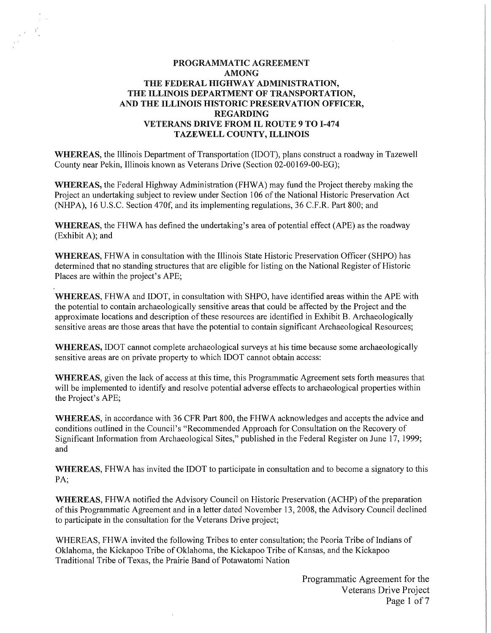# **PROGRAMMATIC** AGREEMENT **AMONG**  THE FEDERAL HIGHWAY ADMINISTRATION, **THE ILLINOIS DEPARTMENT OF TRANSPORTATION, AND THE ILLINOIS HISTORIC PRESERVATION OFFICER, REGARDING VETERANS DRIVE FROM IL ROUTE 9 TO 1-474 TAZEWELL COUNTY, ILLINOIS**

**WHEREAS,** the Illinois Department of Transportation (IDOT), plans construct a roadway in Tazewell County near Pekin, Illinois known as Veterans Drive (Section 02-00169-00-EG);

**WHEREAS,** the Federal Highway Administration (FHW A) may fund the Project thereby making the Project an undertaking subject to review under Section 106 of the National Historic Preservation Act (NHPA), 16 U.S.C. Section 470f, and its implementing regulations, 36 C.F.R. Part 800; and

**WHEREAS,** the FHWA has defined the undertaking's area of potential effect (APE) as the roadway (Exhibit A); and

**WHEREAS,** FHW A in consultation with the Illinois State Historic Preservation Officer (SHPO) has determined that no standing structures that are eligible for listing on the National Register of Historic Places are within the project's APE;

WHEREAS, FHWA and IDOT, in consultation with SHPO, have identified areas within the APE with the potential to contain archaeologically sensitive areas that could be affected by the Project and the approximate locations and description of these resources are identified in Exhibit B. Archaeologically sensitive areas are those areas that have the potential to contain significant Archaeological Resources;

**WHEREAS,** IDOT cannot complete archaeological surveys at his time because some archaeologically sensitive areas are on private property to which IDOT cannot obtain access:

**WHEREAS,** given the lack of access at this time, this Programmatic Agreement sets forth measures that will be implemented to identify and resolve potential adverse effects to archaeological properties within the Project's APE;

**WHEREAS,** in accordance with 36 CFR Part 800, the FHW A acknowledges and accepts the advice and conditions outlined in the Council's "Recommended Approach for Consultation on the Recovery of Significant Information from Archaeological Sites," published in the Federal Register on June 17, 1999; and

WHEREAS, FHWA has invited the IDOT to participate in consultation and to become a signatory to this PA:

WHEREAS, FHWA notified the Advisory Council on Historic Preservation (ACHP) of the preparation of this Programmatic Agreement and in a letter dated November 13, 2008, the Advisory Council declined to participate in the consultation for the Veterans Drive project;

WHEREAS, FHWA invited the following Tribes to enter consultation; the Peoria Tribe of Indians of Oklahoma, the Kickapoo Tribe of Oklahoma, the Kickapoo Tribe of Kansas, and the Kickapoo Traditional Tribe of Texas, the Prairie Band of Potawatomi Nation

> Programmatic Agreement for the Veterans Drive Project Page 1 of 7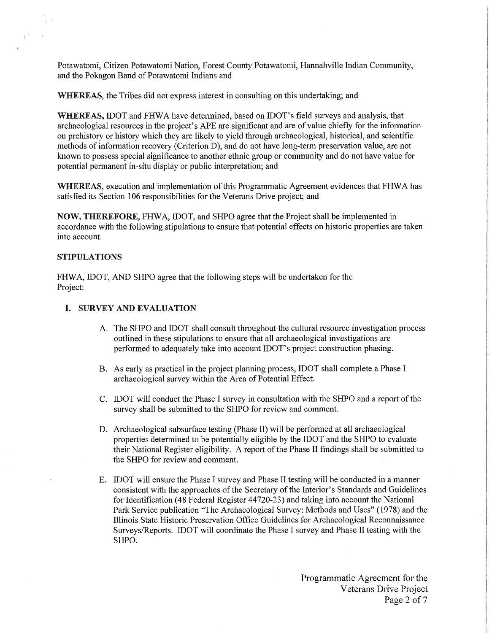Potawatomi, Citizen Potawatomi Nation, Forest County Potawatomi, Hannahville Indian Community, and the Pokagon Band of Potawatomi Indians and

**WHEREAS,** the Tribes did not express interest in consulting on this undertaking; and

**WHEREAS,** IDOT and FHWA have determined, based on IDOT's field surveys and analysis, that archaeological resources in the project's APE are significant and are of value chiefly for the information on prehistory or history which they are likely to yield through archaeological, historical, and scientific methods of information recovery (Criterion D), and do not have long-term preservation value, are not known to possess special significance to another ethnic group or community and do not have value for potential permanent in-situ display or public interpretation; and

**WHEREAS,** execution and implementation of this Programmatic Agreement evidences that FHW A has satisfied its Section 106 responsibilities for the Veterans Drive project; and

NOW, THEREFORE, FHWA, IDOT, and SHPO agree that the Project shall be implemented in accordance with the following stipulations to ensure that potential effects on historic properties are taken into account.

#### STIPULATIONS

FHWA, IDOT, AND SHPO agree that the following steps will be undertaken for the Project:

# I. SURVEY AND EVALUATION

- A. The SHPO and IDOT shall consult throughout the cultural resource investigation process outlined in these stipulations to ensure that all archaeological investigations are performed to adequately take into account IDOT's project construction phasing.
- B. As early as practical in the project planning process, IDOT shall complete a Phase I archaeological survey within the Area of Potential Effect.
- C. IDOT will conduct the Phase I survey in consultation with the SHPO and a report of the survey shall be submitted to the SHPO for review and comment.
- D. Archaeological subsurface testing (Phase II) will be performed at all archaeological properties determined to be potentially eligible by the IDOT and the SHPO to evaluate their National Register eligibility. A report of the Phase II findings shall be submitted to the SHPO for review and comment.
- E. IDOT will ensure the Phase I survey and Phase II testing will be conducted in a manner consistent with the approaches of the Secretary of the Interior's Standards and Guidelines for Identification ( 48 Federal Register 44720-23) and taking into account the National Park Service publication "The Archaeological Survey: Methods and Uses" (1978) and the Illinois State Historic Preservation Office Guidelines for Archaeological Reconnaissance Surveys/Reports. IDOT will coordinate the Phase I survey and Phase II testing with the SHPO.

Programmatic Agreement for the Veterans Drive Project Page 2 of 7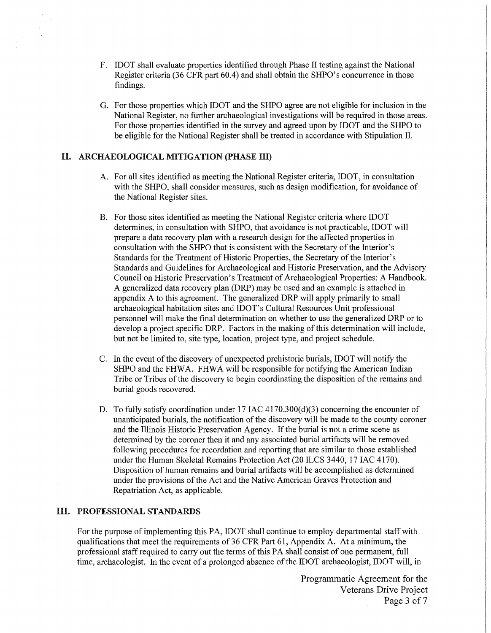- F. IDOT shall evaluate properties identified through Phase II testing against the National Register criteria (36 CPR part 60.4) and shall obtain the SHPO's concurrence in those findings.
- G. For those properties which IDOT and the SHPO agree are not eligible for inclusion in the National Register, no further archaeological investigations will be required in those areas. For those properties identified in the survey and agreed upon by IDOT and the SHPO to be eligible for the National Register shall be treated in accordance with Stipulation II.

# II. ARCHAEOLOGICAL MITIGATION (PHASE III)

- A. For all sites identified as meeting the National Register criteria; IDOT, in consultation with the SHPO, shall consider measures, such as design modification, for avoidance of the National Register sites.
- B. For those sites identified as meeting the National Register criteria where IDOT determines, in consultation with SHPO, that avoidance is not practicable, IDOT will prepare a data recovery plan with a research design for the affected properties in consultation with the SHPO that is consistent with the Secretary of the Interior's Standards for the Treatment of Historic Properties, the Secretary of the Interior's Standards and Guidelines for Archaeological and Historic Preservation, and the Advisory Council on Historic Preservation's Treatment of Archaeological Properties: A Handbook. A generalized data recovery plan (DRP) may be used and an example is attached in appendix A to this agreement. The generalized DRP will apply primarily to small archaeological habitation sites and IDOT's Cultural Resources Unit professional personnel will make the final determination on whether to use the generalized DRP or to develop a project specific DRP. Factors in the making of this determination will include, but not be limited to, site type, location, project type, and project schedule.
- C. In the event of the discovery of unexpected prehistoric burials, IDOT will notify the SHPO and the FHWA. FHWA will be responsible for notifying the American Indian Tribe or Tribes of the discovery to begin coordinating the disposition of the remains and burial goods recovered.
- D. To fully satisfy coordination under 17 IAC 4170.300(d)(3) concerning the encounter of unanticipated burials, the notification of the discovery will be made to the county coroner and the Illinois Historic Preservation Agency. If the burial is not a crime scene as determined by the coroner then it and any associated burial artifacts will be removed following procedures for recordation and reporting that are similar to those established under the Human Skeletal Remains Protection Act (20 ILCS 3440, 17 IAC 4170). Disposition of human remains and burial artifacts will be accomplished as determined under the provisions of the Act and the Native American Graves Protection and Repatriation Act, as applicable.

# III. PROFESSIONAL STANDARDS

For the purpose of implementing this PA, IDOT shall continue to employ departmental staff with qualifications that meet the requirements of 36 CPR Part 61, Appendix A. At a minimum, the professional staff required to carry out the terms of this PA shall consist of one permanent, full time, archaeologist. In the event of a prolonged absence of the IDOT archaeologist, IDOT will, in

> Programmatic Agreement for the Veterans Drive Project Page 3 of 7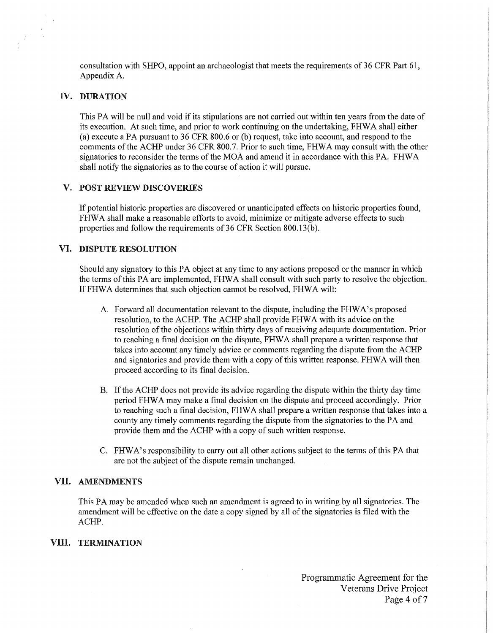consultation with SHPO, appoint an archaeologist that meets the requirements of 36 CFR Part 61, Appendix A.

# IV. DURATION

This PA will be null and void if its stipulations are not carried out within ten years from the date of its execution. At such time, and prior to work continuing on the undertaking, FHW A shall either (a) execute a PA pursuant to  $36$  CFR  $800.6$  or (b) request, take into account, and respond to the comments of the ACHP under 36 CFR 800.7. Prior to such time, FHW A may consult with the other signatories to reconsider the terms of the MOA and amend it in accordance with this PA. FHW A shall notify the signatories as to the course of action it will pursue.

# V. POST REVIEW DISCOVERIES

If potential historic properties are discovered or unanticipated effects on historic properties found, FHWA shall make a reasonable efforts to avoid, minimize or mitigate adverse effects to such properties and follow the requirements of 36 CFR Section 800.13(b).

## VI. DISPUTE RESOLUTION

Should any signatory to this PA object at any time to any actions proposed or the manner in which the terms of this PA are implemented, FHW A shall consult with such party to resolve the objection. If FHWA determines that such objection cannot be resolved, FHWA will:

- A. Forward all documentation relevant to the dispute, including the FHWA's proposed resolution, to the ACHP. The ACHP shall provide FHW A with its advice on the resolution of the objections within thirty days of receiving adequate documentation. Prior to reaching a final decision on the dispute, FHW A shall prepare a written response that takes into account any timely advice or comments regarding the dispute from the ACHP and signatories and provide them with a copy of this written response. FHW A will then proceed according to its final decision.
- B. If the ACHP does not provide its advice regarding the dispute within the thirty day time period FHW A may make a final decision on the dispute and proceed accordingly. Prior to reaching such a final decision, FHW A shall prepare a written response that takes into a county any timely comments regarding the dispute from the signatories to the PA and provide them and the ACHP with a copy of such written response.
- C. FHW A's responsibility to carry out all other actions subject to the terms of this PA that are not the subject of the dispute remain unchanged.

## VII. AMENDMENTS

This PA may be amended when such an amendment is agreed to in writing by all signatories. The amendment will be effective on the date a copy signed by all of the signatories is filed with the ACHP.

## **VIII. TERMINATION**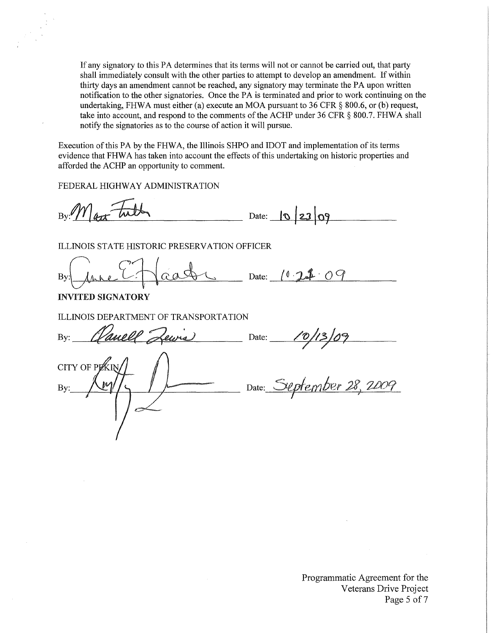If any signatory to this PA detennines that its terms will not or cannot be carried out, that party shall immediately consult with the other parties to attempt to develop an amendment. If within thirty days an amendment cannot be reached, any signatory may terminate the PA upon written notification to the other signatories. Once the PA is terminated and prior to work continuing on the undertaking, FHWA must either (a) execute an MOA pursuant to 36 CFR  $\S$  800.6, or (b) request, take into account, and respond to the comments of the ACHP under 36 CFR § 800.7. FHWA shall notify the signatories as to the course of action it will pursue.

Execution of this PA by the FHW A, the Illinois SHPO and IDOT and implementation of its terms evidence that FHW A has taken into account the effects of this undertaking on historic properties and afforded the ACHP an opportunity to comment.

FEDERAL HIGHWAY ADMINISTRATION

 $By$ :  $Max$  Tuth Date:  $0 \overline{23} 09$ 

ILLINOIS STATE HISTORIC PRESERVATION OFFICER

aat <u>pate: 10 22.09</u> Bv

INVITED SIGNATORY

ILLINOIS DEPARTMENT OF TRANSPORTATION

By: *(Vanell Lewis*) Date: CITY OF PLA Date: September 28, 2009 Bv: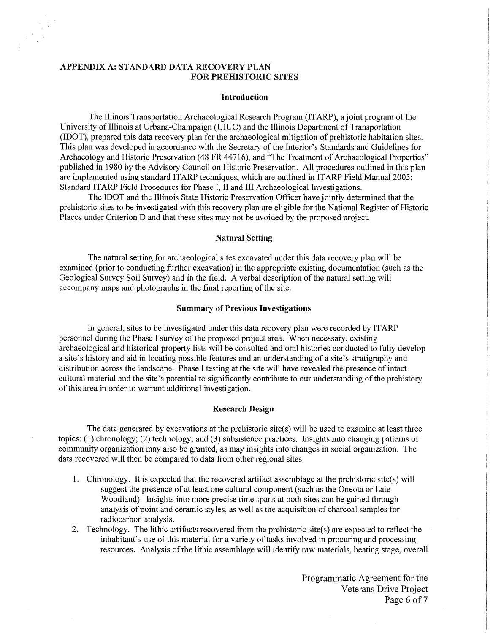# APPENDIX A: STANDARD DATA RECOVERY PLAN FOR PREHISTORIC SITES

#### **Introduction**

The Illinois Transportation Archaeological Research Program (ITARP), a joint program of the University of Illinois at Urbana-Champaign (UIUC) and the Illinois Department of Transportation (IDOT), prepared this data recovery plan for the archaeological mitigation of prehistoric habitation sites. This plan was developed in accordance with the Secretary of the Interior's Standards and Guidelines for Archaeology and Historic Preservation (48 FR 44716), and "The Treatment of Archaeological Properties" published in 1980 by the Advisory Council on Historic Preservation. All procedures outlined in this plan are implemented using standard ITARP techniques, which are outlined in ITARP Field Manual 2005: Standard ITARP Field Procedures for Phase I, II and III Archaeological Investigations.

The IDOT and the Illinois State Historic Preservation Officer have jointly determined that the prehistoric sites to be investigated with this recovery plan are eligible for the National Register of Historic Places under Criterion D and that these sites may not be avoided by the proposed project.

#### **Natural Setting**

The natural setting for archaeological sites excavated under this data recovery plan will be examined (prior to conducting further excavation) in the appropriate existing documentation (such as the Geological Survey Soil Survey) and in the field. A verbal description of the natural setting will accompany maps and photographs in the final reporting of the site.

#### **Summary of Previous Investigations**

In general, sites to be investigated under this data recovery plan were recorded by IT ARP personnel during the Phase I survey of the proposed project area. When necessary, existing archaeological and historical property lists will be consulted and oral histories conducted to fully develop a site's history and aid in locating possible features and an understanding of a site's stratigraphy and distribution across the landscape. Phase I testing at the site will have revealed the presence of intact cultural material and the site's potential to significantly contribute to our understanding of the prehistory of this area in order to warrant additional investigation.

## **Research Design**

The data generated by excavations at the prehistoric site(s) will be used to examine at least three topics: (1) chronology; (2) technology; and (3) subsistence practices. Insights into changing patterns of community organization may also be granted, as may insights into changes in social organization. The data recovered will then be compared to data from other regional sites.

- 1. Chronology. It is expected that the recovered attifact assemblage at the prehistoric site(s) will suggest the presence of at least one cultural component (such as the Oneota or Late Woodland). Insights into more precise time spans at both sites can be gained through analysis of point and ceramic styles, as well as the acquisition of charcoal samples for radiocarbon analysis.
- 2. Technology. The lithic artifacts recovered from the prehistoric site(s) are expected to reflect the inhabitant's use of this material for a variety of tasks involved in procuring and processing resources. Analysis of the lithic assemblage will identify raw materials, heating stage, overall

Programmatic Agreement for the Veterans Drive Project Page 6 of 7